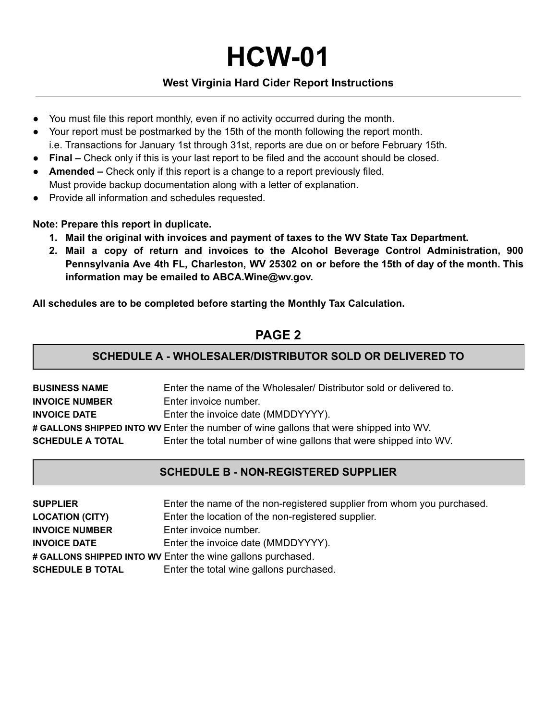**HCW-01** 

### **West Virginia Hard Cider Report Instructions**

- You must file this report monthly, even if no activity occurred during the month.
- Your report must be postmarked by the 15th of the month following the report month. i.e. Transactions for January 1st through 31st, reports are due on or before February 15th.
- **Final** Check only if this is your last report to be filed and the account should be closed.
- ● **Amended** Check only if this report is a change to a report previously filed. Must provide backup documentation along with a letter of explanation.
- Provide all information and schedules requested.

 **Note: Prepare this report in duplicate.** 

- **1. Mail the original with invoices and payment of taxes to the WV State Tax Department.**
- **2. Mail a copy of return and invoices to the Alcohol Beverage Control Administration, 900 Pennsylvania Ave 4th FL, Charleston, WV 25302 on or before the 15th of day of the month. This information may be emailed to ABCA.Wine@wv.gov.**

 **All schedules are to be completed before starting the Monthly Tax Calculation.** 

# **PAGE 2**

### **SCHEDULE A - WHOLESALER/DISTRIBUTOR SOLD OR DELIVERED TO**

| <b>BUSINESS NAME</b>                                                                  | Enter the name of the Wholesaler/ Distributor sold or delivered to. |  |
|---------------------------------------------------------------------------------------|---------------------------------------------------------------------|--|
| <b>INVOICE NUMBER</b>                                                                 | Enter invoice number.                                               |  |
| <b>INVOICE DATE</b>                                                                   | Enter the invoice date (MMDDYYYY).                                  |  |
| # GALLONS SHIPPED INTO WV Enter the number of wine gallons that were shipped into WV. |                                                                     |  |
| <b>SCHEDULE A TOTAL</b>                                                               | Enter the total number of wine gallons that were shipped into WV.   |  |
|                                                                                       |                                                                     |  |

### **SCHEDULE B - NON-REGISTERED SUPPLIER**

| <b>SUPPLIER</b>                                             | Enter the name of the non-registered supplier from whom you purchased. |  |
|-------------------------------------------------------------|------------------------------------------------------------------------|--|
| <b>LOCATION (CITY)</b>                                      | Enter the location of the non-registered supplier.                     |  |
| <b>INVOICE NUMBER</b>                                       | Enter invoice number.                                                  |  |
| <b>INVOICE DATE</b>                                         | Enter the invoice date (MMDDYYYY).                                     |  |
| # GALLONS SHIPPED INTO WV Enter the wine gallons purchased. |                                                                        |  |
| <b>SCHEDULE B TOTAL</b>                                     | Enter the total wine gallons purchased.                                |  |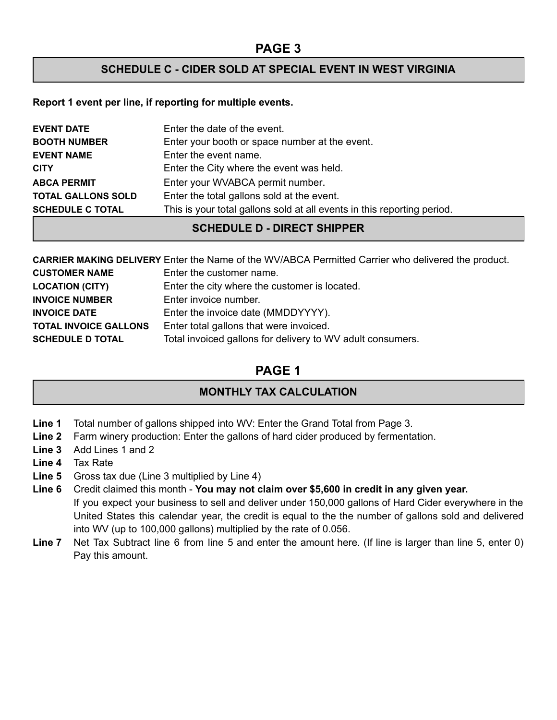### **SCHEDULE C - CIDER SOLD AT SPECIAL EVENT IN WEST VIRGINIA**

#### **Report 1 event per line, if reporting for multiple events.**

| <b>EVENT DATE</b>         | Enter the date of the event.                                            |
|---------------------------|-------------------------------------------------------------------------|
| <b>BOOTH NUMBER</b>       | Enter your booth or space number at the event.                          |
| <b>EVENT NAME</b>         | Enter the event name.                                                   |
| <b>CITY</b>               | Enter the City where the event was held.                                |
| <b>ABCA PERMIT</b>        | Enter your WVABCA permit number.                                        |
| <b>TOTAL GALLONS SOLD</b> | Enter the total gallons sold at the event.                              |
| <b>SCHEDULE C TOTAL</b>   | This is your total gallons sold at all events in this reporting period. |

## **SCHEDULE D - DIRECT SHIPPER**

|                              | <b>CARRIER MAKING DELIVERY</b> Enter the Name of the WV/ABCA Permitted Carrier who delivered the product. |
|------------------------------|-----------------------------------------------------------------------------------------------------------|
| <b>CUSTOMER NAME</b>         | Enter the customer name.                                                                                  |
| <b>LOCATION (CITY)</b>       | Enter the city where the customer is located.                                                             |
| <b>INVOICE NUMBER</b>        | Enter invoice number.                                                                                     |
| <b>INVOICE DATE</b>          | Enter the invoice date (MMDDYYYY).                                                                        |
| <b>TOTAL INVOICE GALLONS</b> | Enter total gallons that were invoiced.                                                                   |
| <b>SCHEDULE D TOTAL</b>      | Total invoiced gallons for delivery to WV adult consumers.                                                |

# **PAGE 1**

# **MONTHLY TAX CALCULATION**

- **Line 1** Total number of gallons shipped into WV: Enter the Grand Total from Page 3.
- **Line 2** Farm winery production: Enter the gallons of hard cider produced by fermentation.
- **Line 3** Add Lines 1 and 2
- **Line 4** Tax Rate
- **Line 5** Gross tax due (Line 3 multiplied by Line 4)
- **Line 6** Credit claimed this month **You may not claim over \$5,600 in credit in any given year.** If you expect your business to sell and deliver under 150,000 gallons of Hard Cider everywhere in the United States this calendar year, the credit is equal to the the number of gallons sold and delivered into WV (up to 100,000 gallons) multiplied by the rate of 0.056.
- **Line 7** Net Tax Subtract line 6 from line 5 and enter the amount here. (If line is larger than line 5, enter 0) Pay this amount.